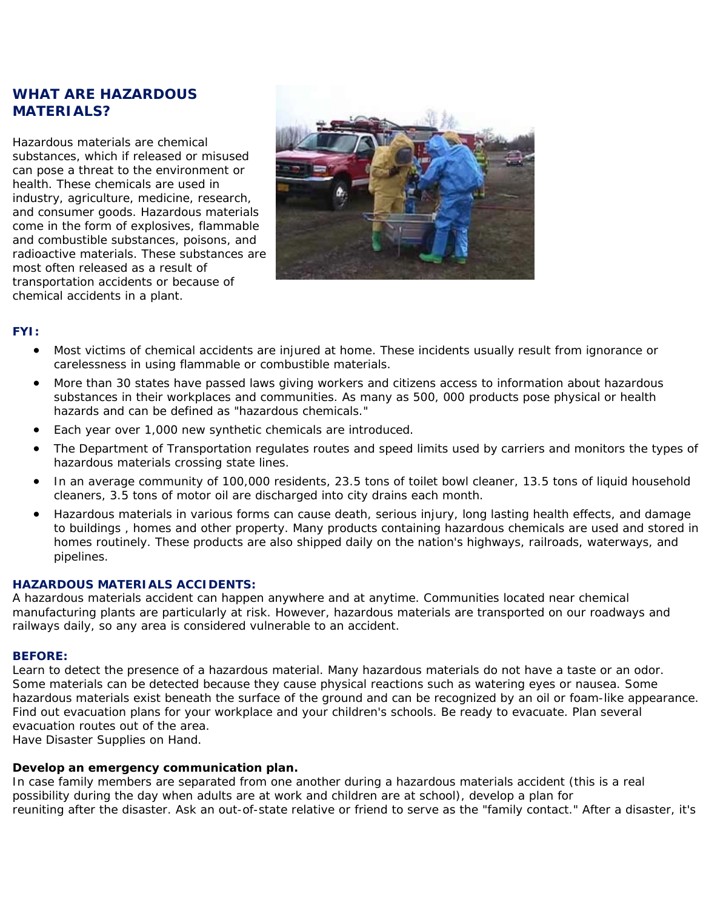# **WHAT ARE HAZARDOUS MATERIALS?**

Hazardous materials are chemical substances, which if released or misused can pose a threat to the environment or health. These chemicals are used in industry, agriculture, medicine, research, and consumer goods. Hazardous materials come in the form of explosives, flammable and combustible substances, poisons, and radioactive materials. These substances are most often released as a result of transportation accidents or because of chemical accidents in a plant.



## **FYI:**

- Most victims of chemical accidents are injured at home. These incidents usually result from ignorance or carelessness in using flammable or combustible materials.
- More than 30 states have passed laws giving workers and citizens access to information about hazardous substances in their workplaces and communities. As many as 500, 000 products pose physical or health hazards and can be defined as "hazardous chemicals."
- Each year over 1,000 new synthetic chemicals are introduced.
- The Department of Transportation regulates routes and speed limits used by carriers and monitors the types of hazardous materials crossing state lines.
- In an average community of 100,000 residents, 23.5 tons of toilet bowl cleaner, 13.5 tons of liquid household cleaners, 3.5 tons of motor oil are discharged into city drains each month.
- Hazardous materials in various forms can cause death, serious injury, long lasting health effects, and damage to buildings , homes and other property. Many products containing hazardous chemicals are used and stored in homes routinely. These products are also shipped daily on the nation's highways, railroads, waterways, and pipelines.

### **HAZARDOUS MATERIALS ACCIDENTS:**

A hazardous materials accident can happen anywhere and at anytime. Communities located near chemical manufacturing plants are particularly at risk. However, hazardous materials are transported on our roadways and railways daily, so any area is considered vulnerable to an accident.

#### **BEFORE:**

Learn to detect the presence of a hazardous material. Many hazardous materials do not have a taste or an odor. Some materials can be detected because they cause physical reactions such as watering eyes or nausea. Some hazardous materials exist beneath the surface of the ground and can be recognized by an oil or foam-like appearance. Find out evacuation plans for your workplace and your children's schools. Be ready to evacuate. Plan several evacuation routes out of the area.

Have Disaster Supplies on Hand.

## **Develop an emergency communication plan.**

In case family members are separated from one another during a hazardous materials accident (this is a real possibility during the day when adults are at work and children are at school), develop a plan for reuniting after the disaster. Ask an out-of-state relative or friend to serve as the "family contact." After a disaster, it's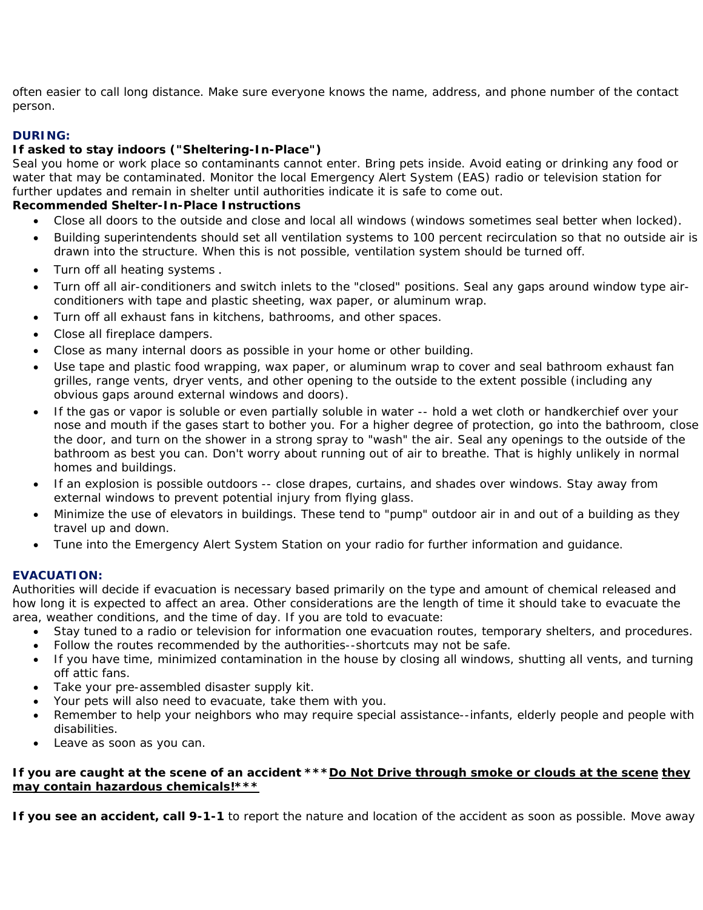often easier to call long distance. Make sure everyone knows the name, address, and phone number of the contact person.

## **DURING:**

### **If asked to stay indoors ("Sheltering-In-Place")**

Seal you home or work place so contaminants cannot enter. Bring pets inside. Avoid eating or drinking any food or water that may be contaminated. Monitor the local Emergency Alert System (EAS) radio or television station for further updates and remain in shelter until authorities indicate it is safe to come out.

### **Recommended Shelter-In-Place Instructions**

- Close all doors to the outside and close and local all windows (windows sometimes seal better when locked).
- Building superintendents should set all ventilation systems to 100 percent recirculation so that no outside air is drawn into the structure. When this is not possible, ventilation system should be turned off.
- Turn off all heating systems .
- Turn off all air-conditioners and switch inlets to the "closed" positions. Seal any gaps around window type airconditioners with tape and plastic sheeting, wax paper, or aluminum wrap.
- Turn off all exhaust fans in kitchens, bathrooms, and other spaces.
- Close all fireplace dampers.
- Close as many internal doors as possible in your home or other building.
- Use tape and plastic food wrapping, wax paper, or aluminum wrap to cover and seal bathroom exhaust fan grilles, range vents, dryer vents, and other opening to the outside to the extent possible (including any obvious gaps around external windows and doors).
- If the gas or vapor is soluble or even partially soluble in water -- hold a wet cloth or handkerchief over your nose and mouth if the gases start to bother you. For a higher degree of protection, go into the bathroom, close the door, and turn on the shower in a strong spray to "wash" the air. Seal any openings to the outside of the bathroom as best you can. Don't worry about running out of air to breathe. That is highly unlikely in normal homes and buildings.
- If an explosion is possible outdoors -- close drapes, curtains, and shades over windows. Stay away from external windows to prevent potential injury from flying glass.
- Minimize the use of elevators in buildings. These tend to "pump" outdoor air in and out of a building as they travel up and down.
- Tune into the Emergency Alert System Station on your radio for further information and guidance.

### **EVACUATION:**

Authorities will decide if evacuation is necessary based primarily on the type and amount of chemical released and how long it is expected to affect an area. Other considerations are the length of time it should take to evacuate the area, weather conditions, and the time of day. If you are told to evacuate:

- Stay tuned to a radio or television for information one evacuation routes, temporary shelters, and procedures.
- Follow the routes recommended by the authorities--shortcuts may not be safe.
- If you have time, minimized contamination in the house by closing all windows, shutting all vents, and turning off attic fans.
- Take your pre-assembled disaster supply kit.
- Your pets will also need to evacuate, take them with you.
- Remember to help your neighbors who may require special assistance--infants, elderly people and people with disabilities.
- Leave as soon as you can.

#### **If you are caught at the scene of an accident \*\*\*Do Not Drive through smoke or clouds at the scene they may contain hazardous chemicals!\*\*\***

**If you see an accident, call 9-1-1** to report the nature and location of the accident as soon as possible. Move away